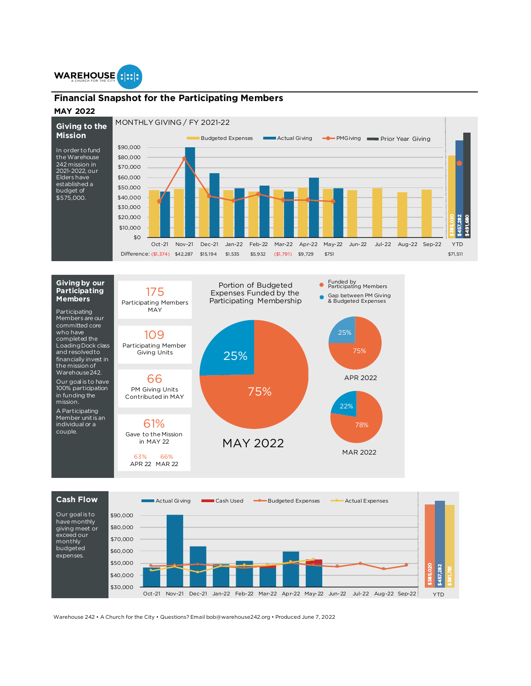

## **Financial Snapshot for the Participating Members**

## **MAY 2022**

MONTHLY GIVING / FY 2021-22 **Giving to the** 







Warehouse 242 • A Church for the City • Questions? Email bob@warehouse242.org • Produced June 7, 2022